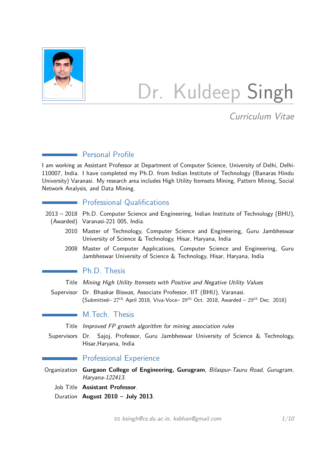

# Dr. Kuldeep Singh

Curriculum Vitae

## Personal Profile

I am working as Assistant Professor at Department of Computer Science, University of Delhi, Delhi-110007, India. I have completed my Ph.D. from Indian Institute of Technology (Banaras Hindu University) Varanasi. My research area includes High Utility Itemsets Mining, Pattern Mining, Social Network Analysis, and Data Mining.

## **Professional Qualifications**

- 2013 2018 Ph.D. Computer Science and Engineering, Indian Institute of Technology (BHU), (Awarded) Varanasi-221 005, India.
	- 2010 Master of Technology, Computer Science and Engineering, Guru Jambheswar University of Science & Technology, Hisar, Haryana, India
	- 2008 Master of Computer Applications, Computer Science and Engineering, Guru Jambheswar University of Science & Technology, Hisar, Haryana, India

## **Ph.D.** Thesis

- Title Mining High Utility Itemsets with Positive and Negative Utility Values
- Supervisor Dr. Bhaskar Biswas, Associate Professor, IIT (BHU), Varanasi. (Submitted– 27*th* April 2018, Viva-Voce– 29*th* Oct. 2018, Awarded – 29*th* Dec. 2018)

## M.Tech. Thesis

Title Improved FP growth algorithm for mining association rules

Supervisors Dr. Sajoj, Professor, Guru Jambheswar University of Science & Technology, Hisar,Haryana, India

## Professional Experience

Organization **Gurgaon College of Engineering, Gurugram**, Bilaspur-Tauru Road, Gurugram, Haryana-122413.

Job Title **Assistant Professor**.

Duration **August 2010 – July 2013**.

 $\boxtimes$  [ksingh@cs.du.ac.in, ksbhan@gmail.com](mailto:ksingh@cs.du.ac.in, ksbhan@gmail.com)  $1/10$  $1/10$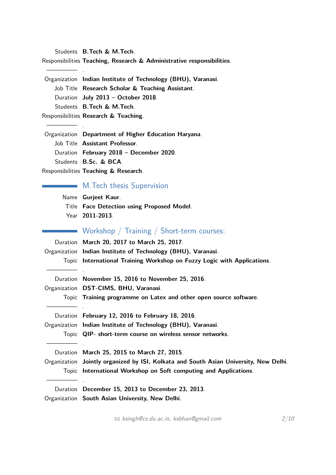Students **B.Tech & M.Tech**.

————— .

————— .

Responsibilities **Teaching, Research & Administrative responsibilities**.

Organization **Indian Institute of Technology (BHU), Varanasi**. Job Title **Research Scholar & Teaching Assistant**. Duration **July 2013 – October 2018**. Students **B.Tech & M.Tech**.

Responsibilities **Research & Teaching**.

Organization **Department of Higher Education Haryana**. Job Title **Assistant Professor**. Duration **February 2018 – December 2020**. Students **B.Sc. & BCA**. Responsibilities **Teaching & Research**.

**M.Tech thesis Supervision** 

Name **Gurjeet Kaur**. Title **Face Detection using Proposed Model**. Year **2011-2013**.

| Workshop / Training / Short-term courses:                                             |
|---------------------------------------------------------------------------------------|
| Duration March 20, 2017 to March 25, 2017.                                            |
| Organization Indian Institute of Technology (BHU), Varanasi.                          |
| Topic International Training Workshop on Fuzzy Logic with Applications.               |
|                                                                                       |
| Duration November 15, 2016 to November 25, 2016.                                      |
| Organization DST-CIMS, BHU, Varanasi.                                                 |
| Topic Training programme on Latex and other open source software.                     |
|                                                                                       |
| Duration February 12, 2016 to February 18, 2016.                                      |
| Organization Indian Institute of Technology (BHU), Varanasi.                          |
| Topic QIP- short-term course on wireless sensor networks.                             |
|                                                                                       |
| Duration March 25, 2015 to March 27, 2015.                                            |
| Organization Jointly organized by ISI, Kolkata and South Asian University, New Delhi. |
| Topic International Workshop on Soft computing and Applications.                      |
|                                                                                       |
| Duration December 15, 2013 to December 23, 2013.                                      |
|                                                                                       |

Organization **South Asian University, New Delhi**.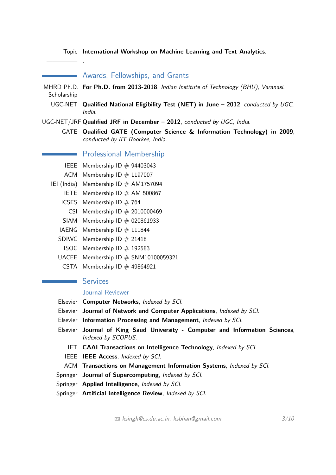Topic **International Workshop on Machine Learning and Text Analytics**.

**EXAMATA Awards, Fellowships, and Grants** 

- MHRD Ph.D. **For Ph.D. from 2013-2018**, Indian Institute of Technology (BHU), Varanasi. **Scholarship** 
	- UGC-NET **Qualified National Eligibility Test (NET) in June 2012**, conducted by UGC, India.
- UGC-NET/JRF **Qualified JRF in December 2012**, conducted by UGC, India.
	- GATE **Qualified GATE (Computer Science & Information Technology) in 2009**, conducted by IIT Roorkee, India.

#### **Numbership** Professional Membership

- IEEE Membership ID  $#$  94403043
- ACM Membership ID  $#$  1197007

————— .

- IEI (India) Membership ID  $#$  AM1757094
	- IETE Membership ID  $#$  AM 500867
	- ICSES Membership ID  $# 764$ 
		- CSI Membership  $ID \# 2010000469$
	- SIAM Membership  $ID \# 020861933$
	- IAENG Membership ID  $#$  111844
	- SDIWC Membership  $ID \# 21418$
	- ISOC Membership ID  $#$  192583
	- UACEE Membership ID  $#$  SNM10100059321
		- CSTA Membership ID  $#$  49864921

### **Services**

#### Journal Reviewer

- Elsevier **Computer Networks**, Indexed by SCI.
- Elsevier **Journal of Network and Computer Applications**, Indexed by SCI.
- Elsevier **Information Processing and Management**, Indexed by SCI.
- Elsevier **Journal of King Saud University Computer and Information Sciences**, Indexed by SCOPUS.
	- IET **CAAI Transactions on Intelligence Technology**, Indexed by SCI.
	- IEEE **IEEE Access**, Indexed by SCI.
- ACM **Transactions on Management Information Systems**, Indexed by SCI.
- Springer **Journal of Supercomputing**, Indexed by SCI.
- Springer **Applied Intelligence**, Indexed by SCI.
- Springer **Artificial Intelligence Review**, Indexed by SCI.

 $\boxtimes$  [ksingh@cs.du.ac.in, ksbhan@gmail.com](mailto:ksingh@cs.du.ac.in, ksbhan@gmail.com)  $3/10$  $3/10$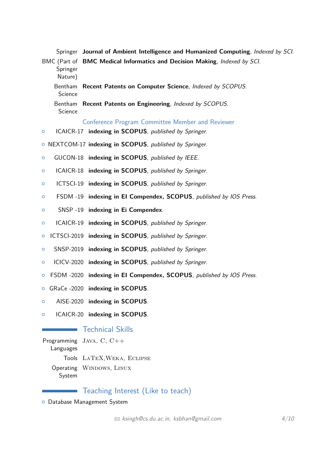|                     | Springer Journal of Ambient Intelligence and Humanized Computing, Indexed by SCI. |
|---------------------|-----------------------------------------------------------------------------------|
| Springer<br>Nature) | BMC (Part of BMC Medical Informatics and Decision Making, Indexed by SCI.         |
| Science             | Bentham Recent Patents on Computer Science, Indexed by SCOPUS.                    |
| Science             | Bentham Recent Patents on Engineering, Indexed by SCOPUS.                         |
|                     | Conference Program Committee Member and Reviewer                                  |
| $\circ$             | ICAICR-17 indexing in <b>SCOPUS</b> , published by Springer.                      |

- { NEXTCOM-17 **indexing in SCOPUS**, published by Springer.
- { GUCON-18 **indexing in SCOPUS**, published by IEEE.
- { ICAICR-18 **indexing in SCOPUS**, published by Springer.
- { ICTSCI-19 **indexing in SCOPUS**, published by Springer.
- { FSDM -19 **indexing in EI Compendex, SCOPUS**, published by IOS Press.
- { SNSP -19 **indexing in Ei Compendex**.
- { ICAICR-19 **indexing in SCOPUS**, published by Springer.
- { ICTSCI-2019 **indexing in SCOPUS**, published by Springer.
- { SNSP-2019 **indexing in SCOPUS**, published by Springer.
- { ICICV-2020 **indexing in SCOPUS**, published by Springer.
- { FSDM -2020 **indexing in EI Compendex, SCOPUS**, published by IOS Press.
- { GRaCe -2020 **indexing in SCOPUS**.
- { AISE-2020 **indexing in SCOPUS**.
- { ICAICR-20 **indexing in SCOPUS**.

## Technical Skills

Programming Java, C, C++ Languages Tools LaTeX,Weka, Eclipse Operating WINDOWS, LINUX System

## Teaching Interest (Like to teach)

{ Database Management System

 $\boxtimes$  [ksingh@cs.du.ac.in, ksbhan@gmail.com](mailto:ksingh@cs.du.ac.in, ksbhan@gmail.com)  $4/10$  $4/10$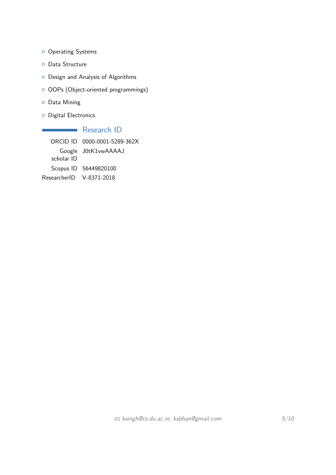- <sup>o</sup> Operating Systems
- **o** Data Structure
- { Design and Analysis of Algorithms
- $\circ$  OOPs (Object-oriented programmings)
- { Data Mining
- **O** Digital Electronics

Research ID ORCID ID 0000-0001-5289-362X Google J0tK1vwAAAAJ scholar ID Scopus ID 56449820100 ResearcherID V-8371-2018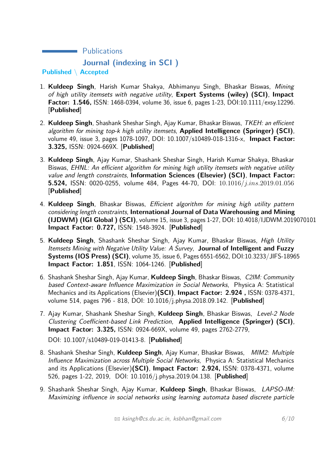**Nublications Journal (indexing in SCI ) Published** \ **Accepted**

- 1. **Kuldeep Singh**, Harish Kumar Shakya, Abhimanyu Singh, Bhaskar Biswas, Mining of high utility itemsets with negative utility, **Expert Systems (wiley) (SCI)**, **Impact Factor: 1.546,** ISSN: 1468-0394, volume 36, issue 6, pages 1-23, DOI:10.1111/exsy.12296. [**Published**]
- 2. **Kuldeep Singh**, Shashank Sheshar Singh, Ajay Kumar, Bhaskar Biswas, TKEH: an efficient algorithm for mining top-k high utility itemsets, **Applied Intelligence (Springer) (SCI)**, volume 49, issue 3, pages 1078-1097, DOI: 10.1007/s10489-018-1316-x, **Impact Factor: 3.325,** ISSN: 0924-669X. [**Published**]
- 3. **Kuldeep Singh**, Ajay Kumar, Shashank Sheshar Singh, Harish Kumar Shakya, Bhaskar Biswas, EHNL: An efficient algorithm for mining high utility itemsets with negative utility value and length constraints, **Information Sciences (Elsevier) (SCI)**, **Impact Factor: 5.524,** ISSN: 0020-0255, volume 484, Pages 44-70, DOI: 10*.*1016*/j.ins.*2019*.*01*.*056 [**Published**]
- 4. **Kuldeep Singh**, Bhaskar Biswas, Efficient algorithm for mining high utility pattern considering length constraints, **International Journal of Data Warehousing and Mining (IJDWM) (IGI Global ) (SCI)**, volume 15, issue 3, pages 1-27, DOI: 10.4018/IJDWM.2019070101 **Impact Factor: 0.727,** ISSN: 1548-3924. [**Published**]
- 5. **Kuldeep Singh**, Shashank Sheshar Singh, Ajay Kumar, Bhaskar Biswas, High Utility Itemsets Mining with Negative Utility Value: A Survey, **Journal of Intelligent and Fuzzy Systems (IOS Press) (SCI)**, volume 35, issue 6, Pages 6551-6562, DOI:10.3233/JIFS-18965 **Impact Factor: 1.851**, ISSN: 1064-1246. [**Published**]
- 6. Shashank Sheshar Singh, Ajay Kumar, **Kuldeep Singh**, Bhaskar Biswas, C2IM: Community based Context-aware Influence Maximization in Social Networks, Physica A: Statistical Mechanics and its Applications (Elsevier)**(SCI)**, **Impact Factor: 2.924 ,** ISSN: 0378-4371, volume 514, pages 796 - 818, DOI: 10.1016/j.physa.2018.09.142. [**Published**]
- 7. Ajay Kumar, Shashank Sheshar Singh, **Kuldeep Singh**, Bhaskar Biswas, Level-2 Node Clustering Coefficient-based Link Prediction, **Applied Intelligence (Springer) (SCI)**, **Impact Factor: 3.325,** ISSN: 0924-669X, volume 49, pages 2762-2779,

DOI: 10.1007/s10489-019-01413-8. [**Published**]

- 8. Shashank Sheshar Singh, **Kuldeep Singh**, Ajay Kumar, Bhaskar Biswas, MIM2: Multiple Influence Maximization across Multiple Social Networks, Physica A: Statistical Mechanics and its Applications (Elsevier)**(SCI)**, **Impact Factor: 2.924,** ISSN: 0378-4371, volume 526, pages 1-22, 2019, DOI: 10.1016/j.physa.2019.04.138. [**Published**]
- 9. Shashank Sheshar Singh, Ajay Kumar, **Kuldeep Singh**, Bhaskar Biswas, LAPSO-IM: Maximizing influence in social networks using learning automata based discrete particle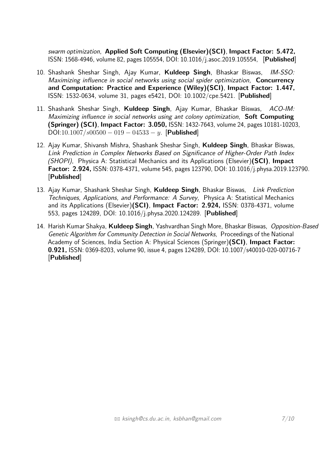swarm optimization, **Applied Soft Computing (Elsevier)(SCI)**, **Impact Factor: 5.472,** ISSN: 1568-4946, volume 82, pages 105554, DOI: 10.1016/j.asoc.2019.105554, [**Published**]

- 10. Shashank Sheshar Singh, Ajay Kumar, **Kuldeep Singh**, Bhaskar Biswas, IM-SSO: Maximizing influence in social networks using social spider optimization, **Concurrency and Computation: Practice and Experience (Wiley)(SCI)**, **Impact Factor: 1.447,** ISSN: 1532-0634, volume 31, pages e5421, DOI: 10.1002/cpe.5421. [**Published**]
- 11. Shashank Sheshar Singh, **Kuldeep Singh**, Ajay Kumar, Bhaskar Biswas, ACO-IM: Maximizing influence in social networks using ant colony optimization, **Soft Computing (Springer) (SCI)**, **Impact Factor: 3.050,** ISSN: 1432-7643, volume 24, pages 10181-10203, DOI:10*.*1007*/s*00500 − 019 − 04533 − *y*. [**Published**]
- 12. Ajay Kumar, Shivansh Mishra, Shashank Sheshar Singh, **Kuldeep Singh**, Bhaskar Biswas, Link Prediction in Complex Networks Based on Significance of Higher-Order Path Index (SHOPI), Physica A: Statistical Mechanics and its Applications (Elsevier)**(SCI)**, **Impact Factor: 2.924,** ISSN: 0378-4371, volume 545, pages 123790, DOI: 10.1016/j.physa.2019.123790. [**Published**]
- 13. Ajay Kumar, Shashank Sheshar Singh, **Kuldeep Singh**, Bhaskar Biswas, Link Prediction Techniques, Applications, and Performance: A Survey, Physica A: Statistical Mechanics and its Applications (Elsevier)**(SCI)**, **Impact Factor: 2.924,** ISSN: 0378-4371, volume 553, pages 124289, DOI: 10.1016/j.physa.2020.124289. [**Published**]
- 14. Harish Kumar Shakya, **Kuldeep Singh**, Yashvardhan Singh More, Bhaskar Biswas, Opposition-Based Genetic Algorithm for Community Detection in Social Networks, Proceedings of the National Academy of Sciences, India Section A: Physical Sciences (Springer)**(SCI)**, **Impact Factor: 0.921,** ISSN: 0369-8203, volume 90, issue 4, pages 124289, DOI: 10.1007/s40010-020-00716-7 [**Published**]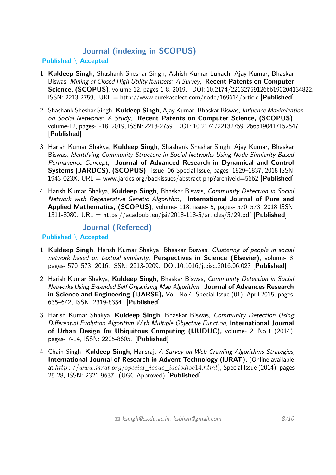# **Journal (indexing in SCOPUS)**

## **Published** \ **Accepted**

- 1. **Kuldeep Singh**, Shashank Sheshar Singh, Ashish Kumar Luhach, Ajay Kumar, Bhaskar Biswas, Mining of Closed High Utility Itemsets: A Survey, **Recent Patents on Computer Science, (SCOPUS)**, volume-12, pages-1-8, 2019, DOI: 10.2174/2213275912666190204134822, ISSN: 2213-2759, URL = http://www.eurekaselect.com/node/169614/article [**Published**]
- 2. Shashank Sheshar Singh, **Kuldeep Singh**, Ajay Kumar, Bhaskar Biswas, Influence Maximization on Social Networks: A Study, **Recent Patents on Computer Science, (SCOPUS)**, volume-12, pages-1-18, 2019, ISSN: 2213-2759. DOI : 10.2174/2213275912666190417152547 [**Published**]
- 3. Harish Kumar Shakya, **Kuldeep Singh**, Shashank Sheshar Singh, Ajay Kumar, Bhaskar Biswas, Identifying Community Structure in Social Networks Using Node Similarity Based Permanence Concept, **Journal of Advanced Research in Dynamical and Control Systems (JARDCS), (SCOPUS)**, issue- 06-Special Issue, pages- 1829–1837, 2018 ISSN: 1943-023X. URL = www.jardcs.org/backissues/abstract.php?archiveid=5662 [**Published**]
- 4. Harish Kumar Shakya, **Kuldeep Singh**, Bhaskar Biswas, Community Detection in Social Network with Regenerative Genetic Algorithm, **International Journal of Pure and Applied Mathematics, (SCOPUS)**, volume- 118, issue- 5, pages- 570–573, 2018 ISSN: 1311-8080. URL = https://acadpubl.eu/jsi/2018-118-5/articles/5/29.pdf [**Published**]

**Journal (Refereed)**

**Published** \ **Accepted**

- 1. **Kuldeep Singh**, Harish Kumar Shakya, Bhaskar Biswas, Clustering of people in social network based on textual similarity, **Perspectives in Science (Elsevier)**, volume- 8, pages- 570–573, 2016, ISSN: 2213-0209. DOI.10.1016/j.pisc.2016.06.023 [**Published**]
- 2. Harish Kumar Shakya, **Kuldeep Singh**, Bhaskar Biswas, Community Detection in Social Networks Using Extended Self Organizing Map Algorithm, **Journal of Advances Research in Science and Engineering (IJARSE),** Vol. No.4, Special Issue (01), April 2015, pages-635–642, ISSN: 2319-8354. [**Published**]
- 3. Harish Kumar Shakya, **Kuldeep Singh**, Bhaskar Biswas, Community Detection Using Differential Evolution Algorithm With Multiple Objective Function, **International Journal of Urban Design for Ubiquitous Computing (IJUDUC),** volume- 2, No.1 (2014), pages- 7-14, ISSN: 2205-8605. [**Published**]
- 4. Chain Singh, **Kuldeep Singh**, Hansraj, A Survey on Web Crawling Algorithms Strategies, **International Journal of Research in Advent Technology (IJRAT),** (Online available at *http* : *//www.ijrat.org/special*\_*issue*\_*iaeisdise*14*.html*), Special Issue (2014), pages-25-28, ISSN: 2321-9637. (UGC Approved) [**Published**]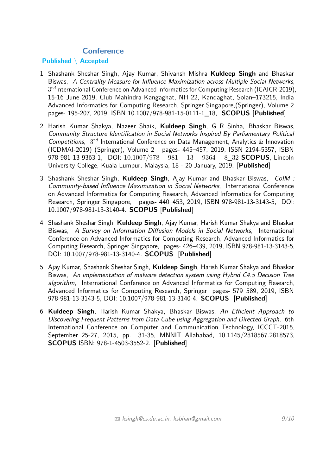## **Conference**

## **Published** \ **Accepted**

- 1. Shashank Sheshar Singh, Ajay Kumar, Shivansh Mishra **Kuldeep Singh** and Bhaskar Biswas, A Centrality Measure for Influence Maximization across Multiple Social Networks, 3 *rd*International Conference on Advanced Informatics for Computing Research (ICAICR-2019), 15-16 June 2019, Club Mahindra Kangaghat, NH 22, Kandaghat, Solan–173215, India Advanced Informatics for Computing Research, Springer Singapore,(Springer), Volume 2 pages- 195-207, 2019, ISBN 10.1007/978-981-15-0111-1\_18, **SCOPUS** [**Published**]
- 2. Harish Kumar Shakya, Nazeer Shaik, **Kuldeep Singh**, G R Sinha, Bhaskar Biswas, Community Structure Identification in Social Networks Inspired By Parliamentary Political Competitions, 3 *rd* International Conference on Data Management, Analytics & Innovation (ICDMAI-2019) (Springer), Volume 2 pages- 445–457, 2019, ISSN 2194-5357, ISBN 978-981-13-9363-1, DOI: 10*.*1007*/*978 − 981 − 13 − 9364 − 8\_32 **SCOPUS**, Lincoln University College, Kuala Lumpur, Malaysia, 18 - 20 January, 2019. [**Published**]
- 3. Shashank Sheshar Singh, **Kuldeep Singh**, Ajay Kumar and Bhaskar Biswas, CoIM : Community-based Influence Maximization in Social Networks, International Conference on Advanced Informatics for Computing Research, Advanced Informatics for Computing Research, Springer Singapore, pages- 440–453, 2019, ISBN 978-981-13-3143-5, DOI: 10.1007/978-981-13-3140-4. **SCOPUS** [**Published**]
- 4. Shashank Sheshar Singh, **Kuldeep Singh**, Ajay Kumar, Harish Kumar Shakya and Bhaskar Biswas, A Survey on Information Diffusion Models in Social Networks, International Conference on Advanced Informatics for Computing Research, Advanced Informatics for Computing Research, Springer Singapore, pages- 426–439, 2019, ISBN 978-981-13-3143-5, DOI: 10.1007/978-981-13-3140-4. **SCOPUS** [**Published**]
- 5. Ajay Kumar, Shashank Sheshar Singh, **Kuldeep Singh**, Harish Kumar Shakya and Bhaskar Biswas, An implementation of malware detection system using Hybrid C4.5 Decision Tree algorithm, International Conference on Advanced Informatics for Computing Research, Advanced Informatics for Computing Research, Springer pages- 579–589, 2019, ISBN 978-981-13-3143-5, DOI: 10.1007/978-981-13-3140-4. **SCOPUS** [**Published**]
- 6. **Kuldeep Singh**, Harish Kumar Shakya, Bhaskar Biswas, An Efficient Approach to Discovering Frequent Patterns from Data Cube using Aggregation and Directed Graph, 6th International Conference on Computer and Communication Technology, ICCCT-2015, September 25-27, 2015, pp. 31-35, MNNIT Allahabad, 10.1145/2818567.2818573, **SCOPUS** ISBN: 978-1-4503-3552-2. [**Published**]